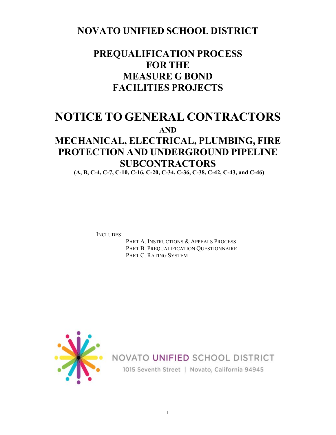## **NOVATO UNIFIED SCHOOL DISTRICT**

## **PREQUALIFICATION PROCESS FOR THE MEASURE G BOND FACILITIES PROJECTS**

## **NOTICE TO GENERAL CONTRACTORS**

**AND**

## **MECHANICAL, ELECTRICAL, PLUMBING, FIRE PROTECTION AND UNDERGROUND PIPELINE SUBCONTRACTORS**

**(A, B, C-4, C-7, C-10, C-16, C-20, C-34, C-36, C-38, C-42, C-43, and C-46)**

INCLUDES:

PART A. INSTRUCTIONS & APPEALS PROCESS PART B. PREQUALIFICATION QUESTIONNAIRE PART C. RATING SYSTEM



NOVATO UNIFIED SCHOOL DISTRICT

1015 Seventh Street | Novato, California 94945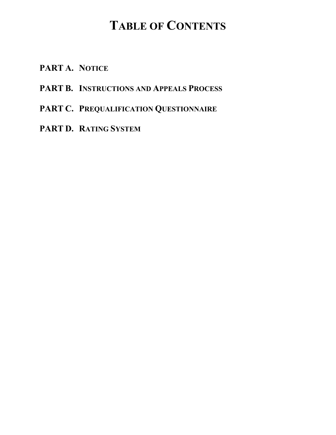## **TABLE OF CONTENTS**

- **PART A. NOTICE**
- **PART B. INSTRUCTIONS AND APPEALS PROCESS**
- **PART C. PREQUALIFICATION QUESTIONNAIRE**
- **PART D. RATING SYSTEM**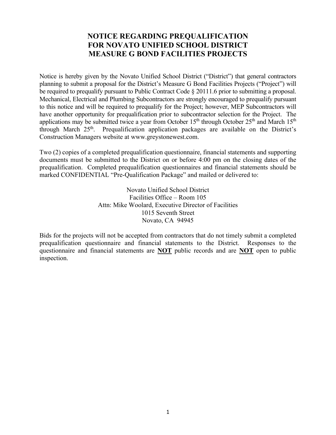#### **NOTICE REGARDING PREQUALIFICATION FOR NOVATO UNIFIED SCHOOL DISTRICT MEASURE G BOND FACILITIES PROJECTS**

Notice is hereby given by the Novato Unified School District ("District") that general contractors planning to submit a proposal for the District's Measure G Bond Facilities Projects ("Project") will be required to prequalify pursuant to Public Contract Code § 20111.6 prior to submitting a proposal. Mechanical, Electrical and Plumbing Subcontractors are strongly encouraged to prequalify pursuant to this notice and will be required to prequalify for the Project; however, MEP Subcontractors will have another opportunity for prequalification prior to subcontractor selection for the Project. The applications may be submitted twice a year from October 15<sup>th</sup> through October 25<sup>th</sup> and March 15<sup>th</sup> through March 25<sup>th</sup>. Prequalification application packages are available on the District's Construction Managers website at www.greystonewest.com.

Two (2) copies of a completed prequalification questionnaire, financial statements and supporting documents must be submitted to the District on or before 4:00 pm on the closing dates of the prequalification. Completed prequalification questionnaires and financial statements should be marked CONFIDENTIAL "Pre-Qualification Package" and mailed or delivered to:

> Novato Unified School District Facilities Office – Room 105 Attn: Mike Woolard, Executive Director of Facilities 1015 Seventh Street Novato, CA 94945

Bids for the projects will not be accepted from contractors that do not timely submit a completed prequalification questionnaire and financial statements to the District. Responses to the questionnaire and financial statements are **NOT** public records and are **NOT** open to public inspection.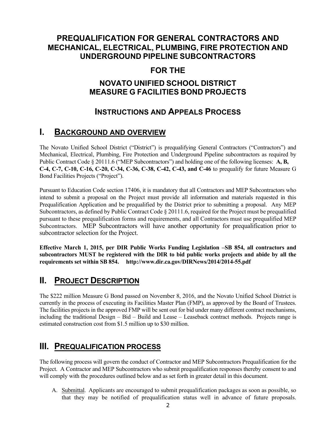### **PREQUALIFICATION FOR GENERAL CONTRACTORS AND MECHANICAL, ELECTRICAL, PLUMBING, FIRE PROTECTION AND UNDERGROUND PIPELINE SUBCONTRACTORS**

### **FOR THE**

### **NOVATO UNIFIED SCHOOL DISTRICT MEASURE G FACILITIES BOND PROJECTS**

## **INSTRUCTIONS AND APPEALS PROCESS**

## **I. BACKGROUND AND OVERVIEW**

The Novato Unified School District ("District") is prequalifying General Contractors ("Contractors") and Mechanical, Electrical, Plumbing, Fire Protection and Underground Pipeline subcontractors as required by Public Contract Code § 20111.6 ("MEP Subcontractors") and holding one of the following licenses: **A, B, C-4, C-7, C-10, C-16, C-20, C-34, C-36, C-38, C-42, C-43, and C-46** to prequalify for future Measure G Bond Facilities Projects ("Project").

Pursuant to Education Code section 17406, it is mandatory that all Contractors and MEP Subcontractors who intend to submit a proposal on the Project must provide all information and materials requested in this Prequalification Application and be prequalified by the District prior to submitting a proposal. Any MEP Subcontractors, as defined by Public Contract Code § 20111.6, required for the Project must be prequalified pursuant to these prequalification forms and requirements, and all Contractors must use prequalified MEP Subcontractors. MEP Subcontractors will have another opportunity for prequalification prior to subcontractor selection for the Project.

**Effective March 1, 2015, per DIR Public Works Funding Legislation –SB 854, all contractors and subcontractors MUST be registered with the DIR to bid public works projects and abide by all the requirements set within SB 854. http://www.dir.ca.gov/DIRNews/2014/2014-55.pdf**

## **II. PROJECT DESCRIPTION**

The \$222 million Measure G Bond passed on November 8, 2016, and the Novato Unified School District is currently in the process of executing its Facilities Master Plan (FMP), as approved by the Board of Trustees. The facilities projects in the approved FMP will be sent out for bid under many different contract mechanisms, including the traditional Design – Bid – Build and Lease – Leaseback contract methods. Projects range is estimated construction cost from \$1.5 million up to \$30 million.

## **III. PREQUALIFICATION PROCESS**

The following process will govern the conduct of Contractor and MEP Subcontractors Prequalification for the Project. A Contractor and MEP Subcontractors who submit prequalification responses thereby consent to and will comply with the procedures outlined below and as set forth in greater detail in this document.

A. Submittal. Applicants are encouraged to submit prequalification packages as soon as possible, so that they may be notified of prequalification status well in advance of future proposals.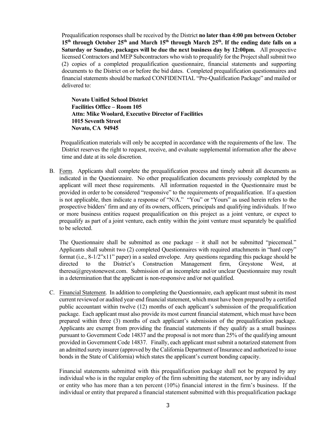Prequalification responses shall be received by the District **no later than 4:00 pm between October 15th through October 25th and March 15th through March 25th. If the ending date falls on a Saturday or Sunday, packages will be due the next business day by 12:00pm.** All prospective licensed Contractors and MEP Subcontractors who wish to prequalify for the Project shall submit two (2) copies of a completed prequalification questionnaire, financial statements and supporting documents to the District on or before the bid dates. Completed prequalification questionnaires and financial statements should be marked CONFIDENTIAL "Pre-Qualification Package" and mailed or delivered to:

**Novato Unified School District Facilities Office – Room 105 Attn: Mike Woolard, Executive Director of Facilities 1015 Seventh Street Novato, CA 94945**

Prequalification materials will only be accepted in accordance with the requirements of the law. The District reserves the right to request, receive, and evaluate supplemental information after the above time and date at its sole discretion.

B. Form. Applicants shall complete the prequalification process and timely submit all documents as indicated in the Questionnaire. No other prequalification documents previously completed by the applicant will meet these requirements. All information requested in the Questionnaire must be provided in order to be considered "responsive" to the requirements of prequalification. If a question is not applicable, then indicate a response of "N/A." "You" or "Yours" as used herein refers to the prospective bidders' firm and any of its owners, officers, principals and qualifying individuals. If two or more business entities request prequalification on this project as a joint venture, or expect to prequalify as part of a joint venture, each entity within the joint venture must separately be qualified to be selected.

The Questionnaire shall be submitted as one package – it shall not be submitted "piecemeal." Applicants shall submit two (2) completed Questionnaires with required attachments in "hard copy" format (i.e., 8-1/2"x11" paper) in a sealed envelope. Any questions regarding this package should be directed to the District's Construction Management firm, Greystone West, at theresa@greystonewest.com. Submission of an incomplete and/or unclear Questionnaire may result in a determination that the applicant is non-responsive and/or not qualified.

C. Financial Statement. In addition to completing the Questionnaire, each applicant must submit its most current reviewed or audited year-end financial statement, which must have been prepared by a certified public accountant within twelve (12) months of each applicant's submission of the prequalification package. Each applicant must also provide its most current financial statement, which must have been prepared within three (3) months of each applicant's submission of the prequalification package. Applicants are exempt from providing the financial statements if they qualify as a small business pursuant to Government Code 14837 and the proposal is not more than 25% of the qualifying amount provided in Government Code 14837. Finally, each applicant must submit a notarized statement from an admitted surety insurer (approved by the California Department of Insurance and authorized to issue bonds in the State of California) which states the applicant's current bonding capacity.

Financial statements submitted with this prequalification package shall not be prepared by any individual who is in the regular employ of the firm submitting the statement, nor by any individual or entity who has more than a ten percent (10%) financial interest in the firm's business. If the individual or entity that prepared a financial statement submitted with this prequalification package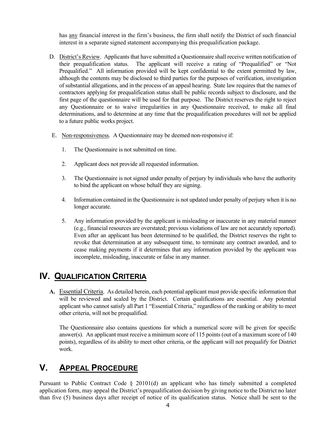has any financial interest in the firm's business, the firm shall notify the District of such financial interest in a separate signed statement accompanying this prequalification package.

- D. District's Review. Applicants that have submitted a Questionnaire shall receive written notification of their prequalification status. The applicant will receive a rating of "Prequalified" or "Not Prequalified." All information provided will be kept confidential to the extent permitted by law, although the contents may be disclosed to third parties for the purposes of verification, investigation of substantial allegations, and in the process of an appeal hearing. State law requires that the names of contractors applying for prequalification status shall be public records subject to disclosure, and the first page of the questionnaire will be used for that purpose. The District reserves the right to reject any Questionnaire or to waive irregularities in any Questionnaire received, to make all final determinations, and to determine at any time that the prequalification procedures will not be applied to a future public works project.
- E. Non-responsiveness. A Questionnaire may be deemed non-responsive if:
	- 1. The Questionnaire is not submitted on time.
	- 2. Applicant does not provide all requested information.
	- 3. The Questionnaire is not signed under penalty of perjury by individuals who have the authority to bind the applicant on whose behalf they are signing.
	- 4. Information contained in the Questionnaire is not updated under penalty of perjury when it is no longer accurate.
	- 5. Any information provided by the applicant is misleading or inaccurate in any material manner (e.g., financial resources are overstated; previous violations of law are not accurately reported). Even after an applicant has been determined to be qualified, the District reserves the right to revoke that determination at any subsequent time, to terminate any contract awarded, and to cease making payments if it determines that any information provided by the applicant was incomplete, misleading, inaccurate or false in any manner.

## **IV. QUALIFICATION CRITERIA**

**A.** Essential Criteria. As detailed herein, each potential applicant must provide specific information that will be reviewed and scaled by the District. Certain qualifications are essential. Any potential applicant who cannot satisfy all Part 1 "Essential Criteria," regardless of the ranking or ability to meet other criteria, will not be prequalified.

The Questionnaire also contains questions for which a numerical score will be given for specific answer(s). An applicant must receive a minimum score of 115 points (out of a maximum score of  $140$ ) points), regardless of its ability to meet other criteria, or the applicant will not prequalify for District work.

## **V. APPEAL PROCEDURE**

Pursuant to Public Contract Code § 20101(d) an applicant who has timely submitted a completed application form, may appeal the District's prequalification decision by giving notice to the District no later than five (5) business days after receipt of notice of its qualification status. Notice shall be sent to the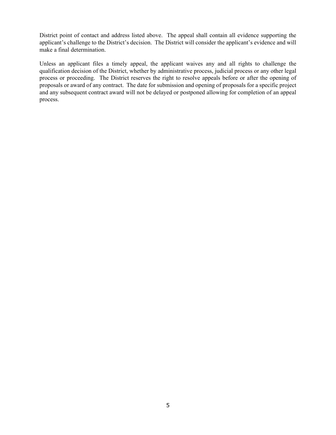District point of contact and address listed above. The appeal shall contain all evidence supporting the applicant's challenge to the District's decision. The District will consider the applicant's evidence and will make a final determination.

Unless an applicant files a timely appeal, the applicant waives any and all rights to challenge the qualification decision of the District, whether by administrative process, judicial process or any other legal process or proceeding. The District reserves the right to resolve appeals before or after the opening of proposals or award of any contract. The date for submission and opening of proposals for a specific project and any subsequent contract award will not be delayed or postponed allowing for completion of an appeal process.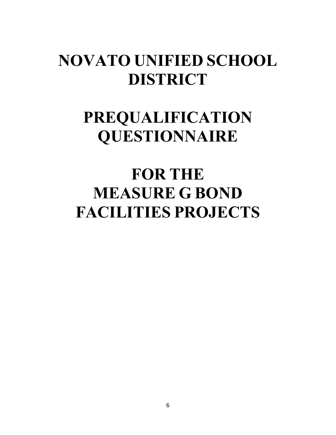## **NOVATO UNIFIED SCHOOL DISTRICT**

# **PREQUALIFICATION QUESTIONNAIRE**

# **FOR THE MEASURE G BOND FACILITIES PROJECTS**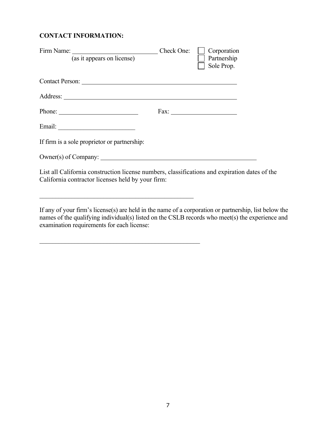#### **CONTACT INFORMATION:**

| Firm Name: (as it appears on license) Check One:                                                                                                   | $\Box$ Corporation<br>Partnership<br>Sole Prop. |
|----------------------------------------------------------------------------------------------------------------------------------------------------|-------------------------------------------------|
|                                                                                                                                                    |                                                 |
|                                                                                                                                                    |                                                 |
| Phone: $\qquad \qquad$                                                                                                                             |                                                 |
|                                                                                                                                                    |                                                 |
| If firm is a sole proprietor or partnership:                                                                                                       |                                                 |
| $Owner(s)$ of Company:                                                                                                                             |                                                 |
| List all California construction license numbers, classifications and expiration dates of the<br>California contractor licenses held by your firm: |                                                 |

If any of your firm's license(s) are held in the name of a corporation or partnership, list below the names of the qualifying individual(s) listed on the CSLB records who meet(s) the experience and examination requirements for each license:

\_\_\_\_\_\_\_\_\_\_\_\_\_\_\_\_\_\_\_\_\_\_\_\_\_\_\_\_\_\_\_\_\_\_\_\_\_\_\_\_\_\_\_\_\_\_\_\_\_\_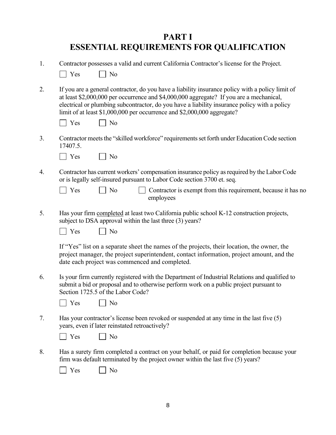## **PART I ESSENTIAL REQUIREMENTS FOR QUALIFICATION**

| Yes<br>No                                                                                                                                                                                                                                                                                                                                                              |
|------------------------------------------------------------------------------------------------------------------------------------------------------------------------------------------------------------------------------------------------------------------------------------------------------------------------------------------------------------------------|
| If you are a general contractor, do you have a liability insurance policy with a policy limit of<br>at least \$2,000,000 per occurrence and \$4,000,000 aggregate? If you are a mechanical,<br>electrical or plumbing subcontractor, do you have a liability insurance policy with a policy<br>limit of at least \$1,000,000 per occurrence and \$2,000,000 aggregate? |
| Yes<br>No                                                                                                                                                                                                                                                                                                                                                              |
| Contractor meets the "skilled workforce" requirements set forth under Education Code section<br>17407.5.                                                                                                                                                                                                                                                               |
| Yes<br>No                                                                                                                                                                                                                                                                                                                                                              |
| Contractor has current workers' compensation insurance policy as required by the Labor Code<br>or is legally self-insured pursuant to Labor Code section 3700 et. seq.                                                                                                                                                                                                 |
| N <sub>o</sub><br>Yes<br>Contractor is exempt from this requirement, because it has no<br>employees                                                                                                                                                                                                                                                                    |
| Has your firm completed at least two California public school K-12 construction projects,<br>subject to DSA approval within the last three (3) years?<br>Yes<br>No                                                                                                                                                                                                     |
| If "Yes" list on a separate sheet the names of the projects, their location, the owner, the<br>project manager, the project superintendent, contact information, project amount, and the<br>date each project was commenced and completed.                                                                                                                             |
| Is your firm currently registered with the Department of Industrial Relations and qualified to<br>submit a bid or proposal and to otherwise perform work on a public project pursuant to<br>Section 1725.5 of the Labor Code?                                                                                                                                          |
| Yes<br>No                                                                                                                                                                                                                                                                                                                                                              |
| Has your contractor's license been revoked or suspended at any time in the last five (5)<br>years, even if later reinstated retroactively?                                                                                                                                                                                                                             |
| Yes<br>No                                                                                                                                                                                                                                                                                                                                                              |
| Has a surety firm completed a contract on your behalf, or paid for completion because your<br>firm was default terminated by the project owner within the last five (5) years?<br>Yes<br>No                                                                                                                                                                            |
|                                                                                                                                                                                                                                                                                                                                                                        |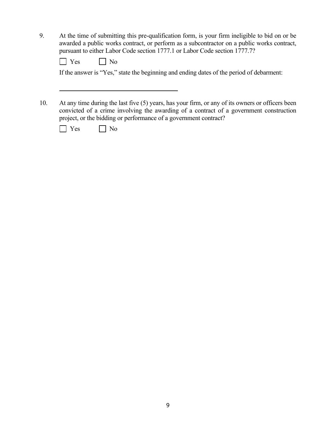9. At the time of submitting this pre-qualification form, is your firm ineligible to bid on or be awarded a public works contract, or perform as a subcontractor on a public works contract, pursuant to either Labor Code section 1777.1 or Labor Code section 1777.7?

If the answer is "Yes," state the beginning and ending dates of the period of debarment:

10. At any time during the last five (5) years, has your firm, or any of its owners or officers been convicted of a crime involving the awarding of a contract of a government construction project, or the bidding or performance of a government contract?

| -- | ง∩ |
|----|----|
|----|----|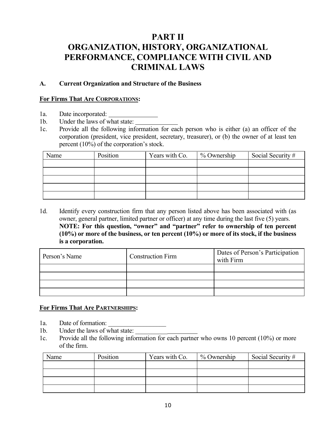## **PART II ORGANIZATION, HISTORY, ORGANIZATIONAL PERFORMANCE, COMPLIANCE WITH CIVIL AND CRIMINAL LAWS**

#### **A. Current Organization and Structure of the Business**

#### **For Firms That Are CORPORATIONS:**

- 1a. Date incorporated:
- 1b. Under the laws of what state:
- 1c. Provide all the following information for each person who is either (a) an officer of the corporation (president, vice president, secretary, treasurer), or (b) the owner of at least ten percent (10%) of the corporation's stock.

| Name | Position | Years with Co. | $%$ Ownership | Social Security # |
|------|----------|----------------|---------------|-------------------|
|      |          |                |               |                   |
|      |          |                |               |                   |
|      |          |                |               |                   |
|      |          |                |               |                   |
|      |          |                |               |                   |

1d. Identify every construction firm that any person listed above has been associated with (as owner, general partner, limited partner or officer) at any time during the last five (5) years. **NOTE: For this question, "owner" and "partner" refer to ownership of ten percent (10%) or more of the business, or ten percent (10%) or more of its stock, if the business is a corporation.**

| Person's Name | <b>Construction Firm</b> | Dates of Person's Participation<br>with Firm |
|---------------|--------------------------|----------------------------------------------|
|               |                          |                                              |
|               |                          |                                              |
|               |                          |                                              |
|               |                          |                                              |

#### **For Firms That Are PARTNERSHIPS:**

- 1a. Date of formation:
- 1b. Under the laws of what state:
- 1c. Provide all the following information for each partner who owns 10 percent (10%) or more of the firm.

| Name | Position | Years with Co. | % Ownership | Social Security # |
|------|----------|----------------|-------------|-------------------|
|      |          |                |             |                   |
|      |          |                |             |                   |
|      |          |                |             |                   |
|      |          |                |             |                   |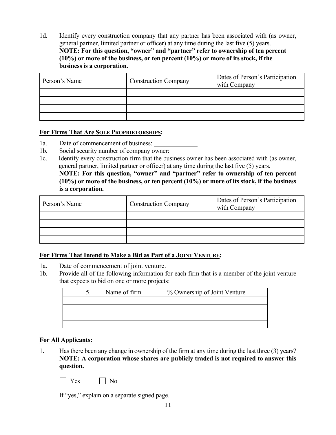1d. Identify every construction company that any partner has been associated with (as owner, general partner, limited partner or officer) at any time during the last five (5) years. **NOTE: For this question, "owner" and "partner" refer to ownership of ten percent (10%) or more of the business, or ten percent (10%) or more of its stock, if the business is a corporation.**

| Person's Name | <b>Construction Company</b> | Dates of Person's Participation<br>with Company |
|---------------|-----------------------------|-------------------------------------------------|
|               |                             |                                                 |
|               |                             |                                                 |
|               |                             |                                                 |
|               |                             |                                                 |

#### **For Firms That Are SOLE PROPRIETORSHIPS:**

- 1a. Date of commencement of business:
- 1b. Social security number of company owner:
- 1c. Identify every construction firm that the business owner has been associated with (as owner, general partner, limited partner or officer) at any time during the last five (5) years.

**NOTE: For this question, "owner" and "partner" refer to ownership of ten percent (10%) or more of the business, or ten percent (10%) or more of its stock, if the business is a corporation.**

| Person's Name | <b>Construction Company</b> | Dates of Person's Participation<br>with Company |
|---------------|-----------------------------|-------------------------------------------------|
|               |                             |                                                 |
|               |                             |                                                 |
|               |                             |                                                 |
|               |                             |                                                 |

#### **For Firms That Intend to Make a Bid as Part of a JOINT VENTURE:**

- 1a. Date of commencement of joint venture.
- 1b. Provide all of the following information for each firm that is a member of the joint venture that expects to bid on one or more projects:

| Name of firm | % Ownership of Joint Venture |
|--------------|------------------------------|
|              |                              |
|              |                              |
|              |                              |
|              |                              |

#### **For All Applicants:**

1. Has there been any change in ownership of the firm at any time during the last three (3) years? **NOTE: A corporation whose shares are publicly traded is not required to answer this question.**

 $\Box$  Yes  $\Box$  No

If "yes," explain on a separate signed page.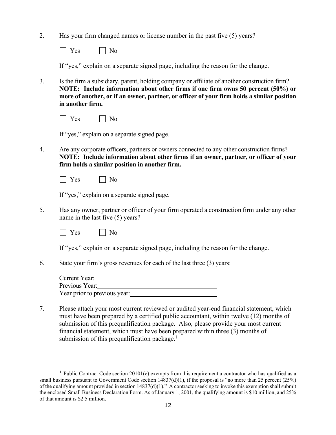2. Has your firm changed names or license number in the past five (5) years?

 $\Box$  Yes  $\Box$  No

If "yes," explain on a separate signed page, including the reason for the change.

3. Is the firm a subsidiary, parent, holding company or affiliate of another construction firm? **NOTE: Include information about other firms if one firm owns 50 percent (50%) or more of another, or if an owner, partner, or officer of your firm holds a similar position in another firm.**

|  | ۔ صدر | ง∩ |
|--|-------|----|
|--|-------|----|

If "yes," explain on a separate signed page.

- 4. Are any corporate officers, partners or owners connected to any other construction firms? **NOTE: Include information about other firms if an owner, partner, or officer of your firm holds a similar position in another firm.** 
	- $\Box$  Yes  $\Box$  No

If "yes," explain on a separate signed page.

5. Has any owner, partner or officer of your firm operated a construction firm under any other name in the last five (5) years?



If "yes," explain on a separate signed page, including the reason for the change.

6. State your firm's gross revenues for each of the last three (3) years:

| Current Year:                |  |
|------------------------------|--|
| Previous Year:               |  |
| Year prior to previous year: |  |

7. Please attach your most current reviewed or audited year-end financial statement, which must have been prepared by a certified public accountant, within twelve (12) months of submission of this prequalification package. Also, please provide your most current financial statement, which must have been prepared within three (3) months of submission of this prequalification package. $<sup>1</sup>$  $<sup>1</sup>$  $<sup>1</sup>$ </sup>

<span id="page-13-0"></span><sup>&</sup>lt;sup>1</sup> Public Contract Code section 20101(e) exempts from this requirement a contractor who has qualified as a small business pursuant to Government Code section  $14837(d)(1)$ , if the proposal is "no more than 25 percent (25%) of the qualifying amount provided in section  $14837(d)(1)$ ." A contractor seeking to invoke this exemption shall submit the enclosed Small Business Declaration Form. As of January 1, 2001, the qualifying amount is \$10 million, and 25% of that amount is \$2.5 million.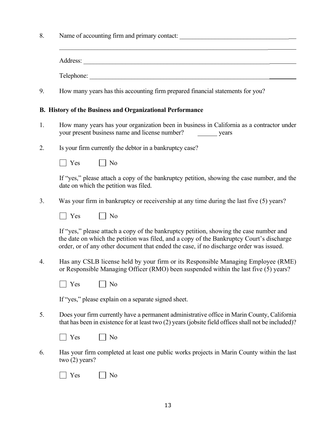| 8. | Name of accounting firm and primary contact:                                                                                                                                                                                                                                 |  |
|----|------------------------------------------------------------------------------------------------------------------------------------------------------------------------------------------------------------------------------------------------------------------------------|--|
|    |                                                                                                                                                                                                                                                                              |  |
|    |                                                                                                                                                                                                                                                                              |  |
| 9. | How many years has this accounting firm prepared financial statements for you?                                                                                                                                                                                               |  |
|    | <b>B.</b> History of the Business and Organizational Performance                                                                                                                                                                                                             |  |
| 1. | How many years has your organization been in business in California as a contractor under<br>your present business name and license number?<br>years                                                                                                                         |  |
| 2. | Is your firm currently the debtor in a bankruptcy case?                                                                                                                                                                                                                      |  |
|    | $\vert$ Yes<br>$\vert$ No                                                                                                                                                                                                                                                    |  |
|    | If "yes," please attach a copy of the bankruptcy petition, showing the case number, and the<br>date on which the petition was filed.                                                                                                                                         |  |
| 3. | Was your firm in bankruptcy or receivership at any time during the last five (5) years?                                                                                                                                                                                      |  |
|    | Yes<br>No                                                                                                                                                                                                                                                                    |  |
|    | If "yes," please attach a copy of the bankruptcy petition, showing the case number and<br>the date on which the petition was filed, and a copy of the Bankruptcy Court's discharge<br>order, or of any other document that ended the case, if no discharge order was issued. |  |
| 4. | Has any CSLB license held by your firm or its Responsible Managing Employee (RME)<br>or Responsible Managing Officer (RMO) been suspended within the last five (5) years?                                                                                                    |  |
|    | Yes<br>No                                                                                                                                                                                                                                                                    |  |
|    | If "yes," please explain on a separate signed sheet.                                                                                                                                                                                                                         |  |
| 5. | Does your firm currently have a permanent administrative office in Marin County, California<br>that has been in existence for at least two (2) years (jobsite field offices shall not be included)?                                                                          |  |
|    | Yes<br>No                                                                                                                                                                                                                                                                    |  |
| 6. | Has your firm completed at least one public works projects in Marin County within the last<br>two $(2)$ years?                                                                                                                                                               |  |
|    | Yes<br>No                                                                                                                                                                                                                                                                    |  |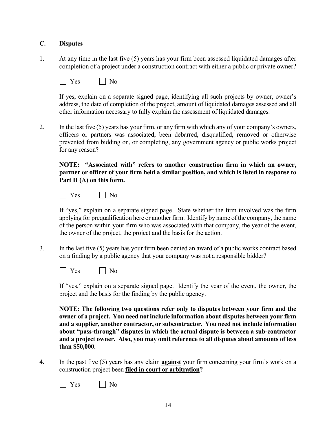#### **C. Disputes**

1. At any time in the last five (5) years has your firm been assessed liquidated damages after completion of a project under a construction contract with either a public or private owner?

|--|--|

If yes, explain on a separate signed page, identifying all such projects by owner, owner's address, the date of completion of the project, amount of liquidated damages assessed and all other information necessary to fully explain the assessment of liquidated damages.

2. In the last five (5) years has your firm, or any firm with which any of your company's owners, officers or partners was associated, been debarred, disqualified, removed or otherwise prevented from bidding on, or completing, any government agency or public works project for any reason?

**NOTE: "Associated with" refers to another construction firm in which an owner, partner or officer of your firm held a similar position, and which is listed in response to Part II (A) on this form.**

| A€. |  |
|-----|--|
|-----|--|

If "yes," explain on a separate signed page. State whether the firm involved was the firm applying for prequalification here or another firm. Identify by name of the company, the name of the person within your firm who was associated with that company, the year of the event, the owner of the project, the project and the basis for the action.

3. In the last five (5) years has your firm been denied an award of a public works contract based on a finding by a public agency that your company was not a responsible bidder?

 $\vert$   $\vert$  Yes  $\vert$   $\vert$  No

If "yes," explain on a separate signed page. Identify the year of the event, the owner, the project and the basis for the finding by the public agency.

**NOTE: The following two questions refer only to disputes between your firm and the owner of a project. You need not include information about disputes between your firm and a supplier, another contractor, or subcontractor. You need not include information about "pass-through" disputes in which the actual dispute is between a sub-contractor and a project owner. Also, you may omit reference to all disputes about amounts of less than \$50,000.** 

4. In the past five (5) years has any claim **against** your firm concerning your firm's work on a construction project been **filed in court or arbitration?**

No No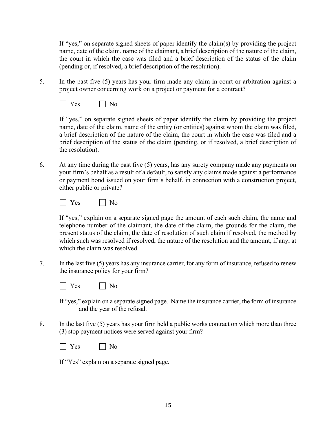If "yes," on separate signed sheets of paper identify the claim(s) by providing the project name, date of the claim, name of the claimant, a brief description of the nature of the claim, the court in which the case was filed and a brief description of the status of the claim (pending or, if resolved, a brief description of the resolution).

5. In the past five (5) years has your firm made any claim in court or arbitration against a project owner concerning work on a project or payment for a contract?



If "yes," on separate signed sheets of paper identify the claim by providing the project name, date of the claim, name of the entity (or entities) against whom the claim was filed, a brief description of the nature of the claim, the court in which the case was filed and a brief description of the status of the claim (pending, or if resolved, a brief description of the resolution).

6. At any time during the past five (5) years, has any surety company made any payments on your firm's behalf as a result of a default, to satisfy any claims made against a performance or payment bond issued on your firm's behalf, in connection with a construction project, either public or private?



If "yes," explain on a separate signed page the amount of each such claim, the name and telephone number of the claimant, the date of the claim, the grounds for the claim, the present status of the claim, the date of resolution of such claim if resolved, the method by which such was resolved if resolved, the nature of the resolution and the amount, if any, at which the claim was resolved.

7. In the last five (5) years has any insurance carrier, for any form of insurance, refused to renew the insurance policy for your firm?



If "yes," explain on a separate signed page. Name the insurance carrier, the form of insurance and the year of the refusal.

8. In the last five (5) years has your firm held a public works contract on which more than three (3) stop payment notices were served against your firm?

| ١. |
|----|
|    |
|    |
|    |

If "Yes" explain on a separate signed page.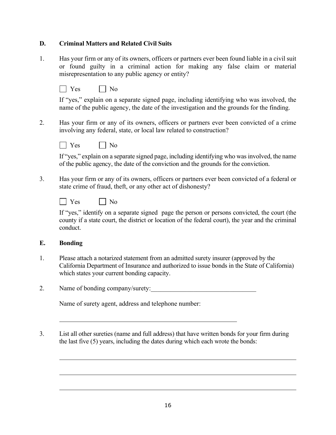#### **D. Criminal Matters and Related Civil Suits**

1. Has your firm or any of its owners, officers or partners ever been found liable in a civil suit or found guilty in a criminal action for making any false claim or material misrepresentation to any public agency or entity?

If "yes," explain on a separate signed page, including identifying who was involved, the name of the public agency, the date of the investigation and the grounds for the finding.

2. Has your firm or any of its owners, officers or partners ever been convicted of a crime involving any federal, state, or local law related to construction?



If "yes," explain on a separate signed page, including identifying who was involved, the name of the public agency, the date of the conviction and the grounds for the conviction.

3. Has your firm or any of its owners, officers or partners ever been convicted of a federal or state crime of fraud, theft, or any other act of dishonesty?

|  | - |
|--|---|
|--|---|

If "yes," identify on a separate signed page the person or persons convicted, the court (the county if a state court, the district or location of the federal court), the year and the criminal conduct.

#### **E. Bonding**

- 1. Please attach a notarized statement from an admitted surety insurer (approved by the California Department of Insurance and authorized to issue bonds in the State of California) which states your current bonding capacity.
- 2. Name of bonding company/surety:

Name of surety agent, address and telephone number:

3. List all other sureties (name and full address) that have written bonds for your firm during the last five (5) years, including the dates during which each wrote the bonds: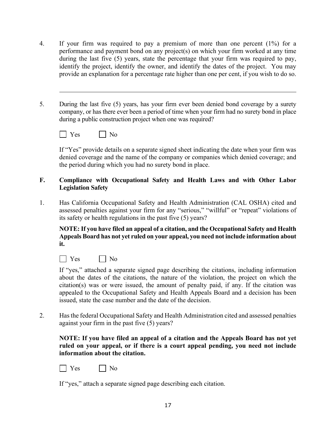- 4. If your firm was required to pay a premium of more than one percent (1%) for a performance and payment bond on any project(s) on which your firm worked at any time during the last five (5) years, state the percentage that your firm was required to pay, identify the project, identify the owner, and identify the dates of the project. You may provide an explanation for a percentage rate higher than one per cent, if you wish to do so.
- 5. During the last five (5) years, has your firm ever been denied bond coverage by a surety company, or has there ever been a period of time when your firm had no surety bond in place during a public construction project when one was required?
	- YesNo

If "Yes" provide details on a separate signed sheet indicating the date when your firm was denied coverage and the name of the company or companies which denied coverage; and the period during which you had no surety bond in place.

#### **F. Compliance with Occupational Safety and Health Laws and with Other Labor Legislation Safety**

1. Has California Occupational Safety and Health Administration (CAL OSHA) cited and assessed penalties against your firm for any "serious," "willful" or "repeat" violations of its safety or health regulations in the past five (5) years?

**NOTE: If you have filed an appeal of a citation, and the Occupational Safety and Health Appeals Board has not yet ruled on your appeal, you need not include information about it.**



If "yes," attached a separate signed page describing the citations, including information about the dates of the citations, the nature of the violation, the project on which the citation(s) was or were issued, the amount of penalty paid, if any. If the citation was appealed to the Occupational Safety and Health Appeals Board and a decision has been issued, state the case number and the date of the decision.

2. Has the federal Occupational Safety and Health Administration cited and assessed penalties against your firm in the past five (5) years?

#### **NOTE: If you have filed an appeal of a citation and the Appeals Board has not yet ruled on your appeal, or if there is a court appeal pending, you need not include information about the citation.**

| $-$ | . . |
|-----|-----|
|-----|-----|

If "yes," attach a separate signed page describing each citation.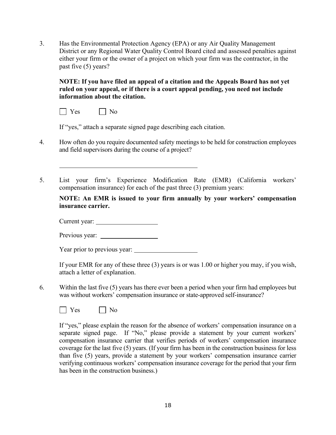3. Has the Environmental Protection Agency (EPA) or any Air Quality Management District or any Regional Water Quality Control Board cited and assessed penalties against either your firm or the owner of a project on which your firm was the contractor, in the past five (5) years?

**NOTE: If you have filed an appeal of a citation and the Appeals Board has not yet ruled on your appeal, or if there is a court appeal pending, you need not include information about the citation.**

| - |
|---|
|   |
|   |

If "yes," attach a separate signed page describing each citation.

- 4. How often do you require documented safety meetings to be held for construction employees and field supervisors during the course of a project?
- 5. List your firm's Experience Modification Rate (EMR) (California workers' compensation insurance) for each of the past three (3) premium years:

**NOTE: An EMR is issued to your firm annually by your workers' compensation insurance carrier.**

Current year:

Previous year:

Year prior to previous year:

If your EMR for any of these three (3) years is or was 1.00 or higher you may, if you wish, attach a letter of explanation.

6. Within the last five (5) years has there ever been a period when your firm had employees but was without workers' compensation insurance or state-approved self-insurance?



If "yes," please explain the reason for the absence of workers' compensation insurance on a separate signed page. If "No," please provide a statement by your current workers' compensation insurance carrier that verifies periods of workers' compensation insurance coverage for the last five (5) years. (If your firm has been in the construction business for less than five (5) years, provide a statement by your workers' compensation insurance carrier verifying continuous workers' compensation insurance coverage for the period that your firm has been in the construction business.)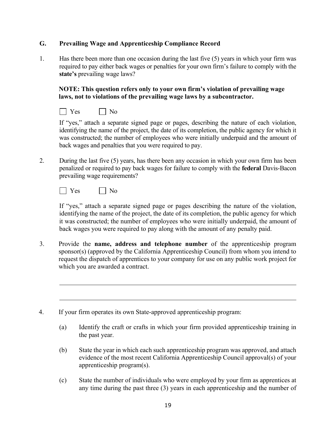#### **G. Prevailing Wage and Apprenticeship Compliance Record**

1. Has there been more than one occasion during the last five (5) years in which your firm was required to pay either back wages or penalties for your own firm's failure to comply with the **state's** prevailing wage laws?

**NOTE: This question refers only to your own firm's violation of prevailing wage laws, not to violations of the prevailing wage laws by a subcontractor.** 

 $\Box$  Yes  $\Box$  No

If "yes," attach a separate signed page or pages, describing the nature of each violation, identifying the name of the project, the date of its completion, the public agency for which it was constructed; the number of employees who were initially underpaid and the amount of back wages and penalties that you were required to pay.

2. During the last five (5) years, has there been any occasion in which your own firm has been penalized or required to pay back wages for failure to comply with the **federal** Davis-Bacon prevailing wage requirements?



If "yes," attach a separate signed page or pages describing the nature of the violation, identifying the name of the project, the date of its completion, the public agency for which it was constructed; the number of employees who were initially underpaid, the amount of back wages you were required to pay along with the amount of any penalty paid.

- 3. Provide the **name, address and telephone number** of the apprenticeship program sponsor(s) (approved by the California Apprenticeship Council) from whom you intend to request the dispatch of apprentices to your company for use on any public work project for which you are awarded a contract.
- 4. If your firm operates its own State-approved apprenticeship program:
	- (a) Identify the craft or crafts in which your firm provided apprenticeship training in the past year.
	- (b) State the year in which each such apprenticeship program was approved, and attach evidence of the most recent California Apprenticeship Council approval(s) of your apprenticeship program(s).
	- (c) State the number of individuals who were employed by your firm as apprentices at any time during the past three (3) years in each apprenticeship and the number of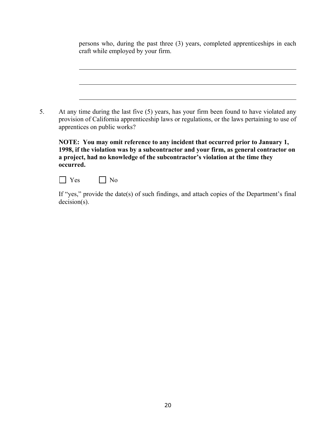|    | persons who, during the past three (3) years, completed apprenticeships in each<br>craft while employed by your firm.                                                                                                                                                 |
|----|-----------------------------------------------------------------------------------------------------------------------------------------------------------------------------------------------------------------------------------------------------------------------|
|    |                                                                                                                                                                                                                                                                       |
| 5. | At any time during the last five (5) years, has your firm been found to have violated any<br>provision of California apprenticeship laws or regulations, or the laws pertaining to use of<br>apprentices on public works?                                             |
|    | NOTE: You may omit reference to any incident that occurred prior to January 1,<br>1998, if the violation was by a subcontractor and your firm, as general contractor on<br>a project, had no knowledge of the subcontractor's violation at the time they<br>occurred. |

| $\sim$ |  |
|--------|--|
|--------|--|

If "yes," provide the date(s) of such findings, and attach copies of the Department's final decision(s).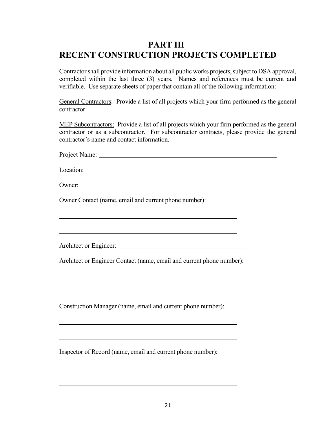## **PART III RECENT CONSTRUCTION PROJECTS COMPLETED**

Contractor shall provide information about all public works projects, subject to DSA approval, completed within the last three (3) years.Names and references must be current and verifiable. Use separate sheets of paper that contain all of the following information:

General Contractors: Provide a list of all projects which your firm performed as the general contractor.

MEP Subcontractors: Provide a list of all projects which your firm performed as the general contractor or as a subcontractor. For subcontractor contracts, please provide the general contractor's name and contact information.

Project Name:

Location:

Owner:

Owner Contact (name, email and current phone number):

Architect or Engineer: \_\_\_\_\_\_\_\_\_\_\_\_\_\_\_\_\_\_\_\_\_\_\_\_\_\_\_\_\_\_\_\_\_\_\_\_\_\_\_\_

Architect or Engineer Contact (name, email and current phone number):

Construction Manager (name, email and current phone number):

Inspector of Record (name, email and current phone number):

\_\_\_\_\_\_\_\_\_\_\_\_\_\_\_\_\_\_\_\_\_\_\_\_\_\_\_\_\_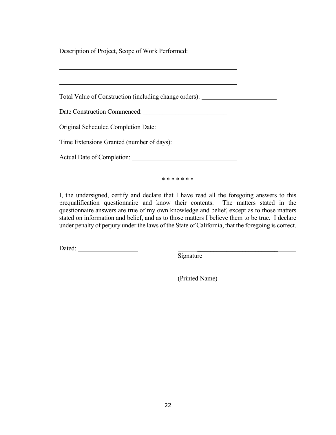Description of Project, Scope of Work Performed:

| Total Value of Construction (including change orders): _________________________ |  |
|----------------------------------------------------------------------------------|--|
|                                                                                  |  |
|                                                                                  |  |
|                                                                                  |  |
|                                                                                  |  |

\* \* \* \* \* \* \*

I, the undersigned, certify and declare that I have read all the foregoing answers to this prequalification questionnaire and know their contents. The matters stated in the questionnaire answers are true of my own knowledge and belief, except as to those matters stated on information and belief, and as to those matters I believe them to be true. I declare under penalty of perjury under the laws of the State of California, that the foregoing is correct.

Dated: \_\_\_\_\_\_\_\_\_\_\_\_\_\_\_\_\_\_\_\_\_\_\_\_\_

**Signature** 

(Printed Name)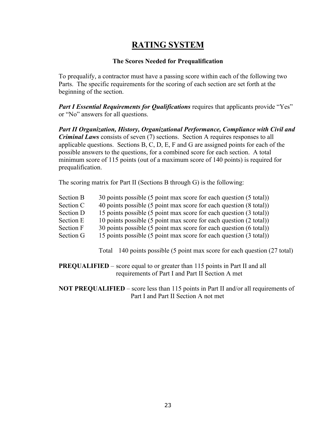## **RATING SYSTEM**

#### **The Scores Needed for Prequalification**

To prequalify, a contractor must have a passing score within each of the following two Parts. The specific requirements for the scoring of each section are set forth at the beginning of the section.

*Part I Essential Requirements for Qualifications* requires that applicants provide "Yes" or "No" answers for all questions.

*Part II Organization, History, Organizational Performance, Compliance with Civil and Criminal Laws* consists of seven (7) sections. Section A requires responses to all applicable questions. Sections B, C, D, E, F and G are assigned points for each of the possible answers to the questions, for a combined score for each section. A total minimum score of 115 points (out of a maximum score of 140 points) is required for prequalification.

The scoring matrix for Part II (Sections B through G) is the following:

| Section B | 30 points possible (5 point max score for each question (5 total)) |
|-----------|--------------------------------------------------------------------|
|-----------|--------------------------------------------------------------------|

Section C 40 points possible (5 point max score for each question (8 total))

Section D 15 points possible (5 point max score for each question (3 total))

- Section E 10 points possible (5 point max score for each question (2 total))
- Section F 30 points possible (5 point max score for each question (6 total))
- Section G 15 points possible (5 point max score for each question (3 total))

Total 140 points possible (5 point max score for each question (27 total)

**PREQUALIFIED** – score equal to or greater than 115 points in Part II and all requirements of Part I and Part II Section A met

**NOT PREQUALIFIED** – score less than 115 points in Part II and/or all requirements of Part I and Part II Section A not met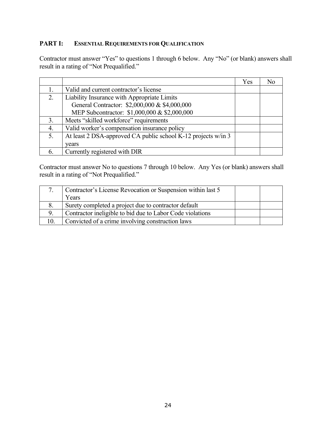#### **PART I: ESSENTIAL REQUIREMENTS FOR QUALIFICATION**

Contractor must answer "Yes" to questions 1 through 6 below. Any "No" (or blank) answers shall result in a rating of "Not Prequalified."

|             |                                                               | Yes |  |
|-------------|---------------------------------------------------------------|-----|--|
|             | Valid and current contractor's license                        |     |  |
| 2.          | Liability Insurance with Appropriate Limits                   |     |  |
|             | General Contractor: \$2,000,000 & \$4,000,000                 |     |  |
|             | MEP Subcontractor: \$1,000,000 & \$2,000,000                  |     |  |
| 3.          | Meets "skilled workforce" requirements                        |     |  |
| $\mathbf 4$ | Valid worker's compensation insurance policy                  |     |  |
| 5.          | At least 2 DSA-approved CA public school K-12 projects w/in 3 |     |  |
|             | vears                                                         |     |  |
|             | Currently registered with DIR                                 |     |  |

Contractor must answer No to questions 7 through 10 below. Any Yes (or blank) answers shall result in a rating of "Not Prequalified."

| Contractor's License Revocation or Suspension within last 5 |  |
|-------------------------------------------------------------|--|
| Years                                                       |  |
| Surety completed a project due to contractor default        |  |
| Contractor ineligible to bid due to Labor Code violations   |  |
| Convicted of a crime involving construction laws            |  |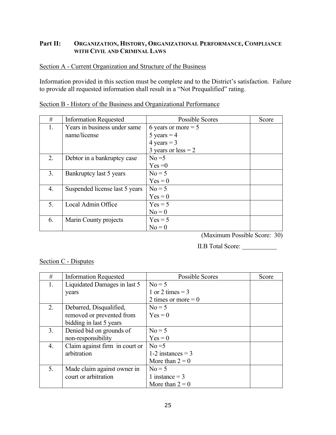#### **Part II: ORGANIZATION, HISTORY, ORGANIZATIONAL PERFORMANCE, COMPLIANCE WITH CIVIL AND CRIMINAL LAWS**

#### Section A - Current Organization and Structure of the Business

Information provided in this section must be complete and to the District's satisfaction. Failure to provide all requested information shall result in a "Not Prequalified" rating.

| #  | <b>Information Requested</b>   | <b>Possible Scores</b> | Score |
|----|--------------------------------|------------------------|-------|
| 1. | Years in business under same   | 6 years or more $= 5$  |       |
|    | name/license                   | 5 years = $4$          |       |
|    |                                | 4 years = $3$          |       |
|    |                                | 3 years or $less = 2$  |       |
| 2. | Debtor in a bankruptcy case    | $No = 5$               |       |
|    |                                | $Yes = 0$              |       |
| 3. | Bankruptcy last 5 years        | $No = 5$               |       |
|    |                                | $Yes = 0$              |       |
| 4. | Suspended license last 5 years | $No = 5$               |       |
|    |                                | $Yes = 0$              |       |
| 5. | Local Admin Office             | $Yes = 5$              |       |
|    |                                | $No = 0$               |       |
| 6. | Marin County projects          | $Yes = 5$              |       |
|    |                                | $No = 0$               |       |

#### Section B - History of the Business and Organizational Performance

(Maximum Possible Score: 30)

II.B Total Score: \_\_\_\_\_\_\_\_\_\_\_\_

#### Section C - Disputes

| #  | <b>Information Requested</b>   | <b>Possible Scores</b> | Score |
|----|--------------------------------|------------------------|-------|
| 1. | Liquidated Damages in last 5   | $No = 5$               |       |
|    | years                          | 1 or 2 times $=$ 3     |       |
|    |                                | 2 times or more $= 0$  |       |
| 2. | Debarred, Disqualified,        | $No = 5$               |       |
|    | removed or prevented from      | $Yes = 0$              |       |
|    | bidding in last 5 years        |                        |       |
| 3. | Denied bid on grounds of       | $No = 5$               |       |
|    | non-responsibility             | $Yes = 0$              |       |
| 4. | Claim against firm in court or | $No = 5$               |       |
|    | arbitration                    | 1-2 instances $=$ 3    |       |
|    |                                | More than $2 = 0$      |       |
| 5. | Made claim against owner in    | $No = 5$               |       |
|    | court or arbitration           | 1 instance $=$ 3       |       |
|    |                                | More than $2 = 0$      |       |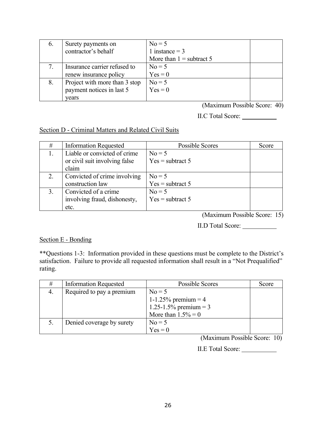| $\mathbf{b}$ . | Surety payments on            | $No = 5$                   |
|----------------|-------------------------------|----------------------------|
|                | contractor's behalf           | 1 instance $=$ 3           |
|                |                               | More than $1 =$ subtract 5 |
|                | Insurance carrier refused to  | $No = 5$                   |
|                | renew insurance policy        | $Yes = 0$                  |
| 8.             | Project with more than 3 stop | $No = 5$                   |
|                | payment notices in last 5     | $Yes = 0$                  |
|                | vears                         |                            |

(Maximum Possible Score: 40)

II.C Total Score:

Section D - Criminal Matters and Related Civil Suits

| #  | <b>Information Requested</b>  | Possible Scores    | Score |
|----|-------------------------------|--------------------|-------|
|    | Liable or convicted of crime  | $No = 5$           |       |
|    | or civil suit involving false | $Yes = subtract 5$ |       |
|    | claim                         |                    |       |
| 2. | Convicted of crime involving  | $No = 5$           |       |
|    | construction law              | $Yes = subtract 5$ |       |
| 3. | Convicted of a crime          | $No = 5$           |       |
|    | involving fraud, dishonesty,  | $Yes = subtract 5$ |       |
|    | etc.                          |                    |       |

(Maximum Possible Score: 15)

II.D Total Score:

#### Section E - Bonding

\*\*Questions 1-3: Information provided in these questions must be complete to the District's satisfaction. Failure to provide all requested information shall result in a "Not Prequalified" rating.

| # | <b>Information Requested</b> | Possible Scores       | Score |
|---|------------------------------|-----------------------|-------|
|   | Required to pay a premium    | $No = 5$              |       |
|   |                              | 1-1.25% premium = 4   |       |
|   |                              | 1.25-1.5% premium = 3 |       |
|   |                              | More than $1.5\% = 0$ |       |
|   | Denied coverage by surety    | $No = 5$              |       |
|   |                              | $Yes = 0$             |       |

(Maximum Possible Score: 10)

II.E Total Score: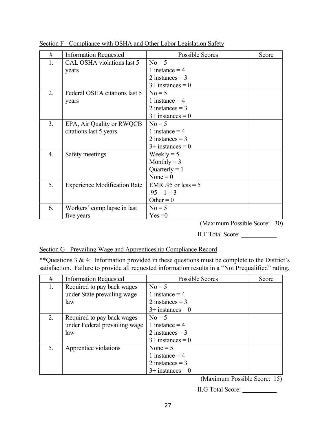| #  | <b>Information Requested</b>        | Possible Scores       | Score |
|----|-------------------------------------|-----------------------|-------|
| 1. | CAL OSHA violations last 5          | $No = 5$              |       |
|    | years                               | 1 instance $=$ 4      |       |
|    |                                     | 2 instances $=$ 3     |       |
|    |                                     | $3+$ instances = 0    |       |
| 2. | Federal OSHA citations last 5       | $No = 5$              |       |
|    | years                               | 1 instance $=$ 4      |       |
|    |                                     | 2 instances $=$ 3     |       |
|    |                                     | $3+$ instances = 0    |       |
| 3. | EPA, Air Quality or RWQCB           | $No = 5$              |       |
|    | citations last 5 years              | 1 instance $=$ 4      |       |
|    |                                     | 2 instances $=$ 3     |       |
|    |                                     | $3+$ instances = 0    |       |
| 4. | Safety meetings                     | Weekly = $5$          |       |
|    |                                     | Monthly $=$ 3         |       |
|    |                                     | Quarterly = $1$       |       |
|    |                                     | None = $0$            |       |
| 5. | <b>Experience Modification Rate</b> | EMR .95 or less $= 5$ |       |
|    |                                     | $.95 - 1 = 3$         |       |
|    |                                     | Other = $0$           |       |
| 6. | Workers' comp lapse in last         | $No = 5$              |       |
|    | five years                          | $Yes = 0$             |       |

Section F - Compliance with OSHA and Other Labor Legislation Safety

(Maximum Possible Score: 30)

II.F Total Score:

#### Section G - Prevailing Wage and Apprenticeship Compliance Record

\*\*Questions 3 & 4: Information provided in these questions must be complete to the District's satisfaction. Failure to provide all requested information results in a "Not Prequalified" rating.

| #  | <b>Information Requested</b>  | <b>Possible Scores</b> | Score |
|----|-------------------------------|------------------------|-------|
| 1. | Required to pay back wages    | $No = 5$               |       |
|    | under State prevailing wage   | 1 instance $=$ 4       |       |
|    | law                           | 2 instances $=$ 3      |       |
|    |                               | $3+$ instances = 0     |       |
| 2. | Required to pay back wages    | $No = 5$               |       |
|    | under Federal prevailing wage | 1 instance $=$ 4       |       |
|    | law                           | 2 instances $=$ 3      |       |
|    |                               | $3+$ instances = 0     |       |
| 5. | Apprentice violations         | None $= 5$             |       |
|    |                               | 1 instance $=$ 4       |       |
|    |                               | 2 instances $=$ 3      |       |
|    |                               | $3+$ instances = 0     |       |

(Maximum Possible Score: 15)

II.G Total Score: